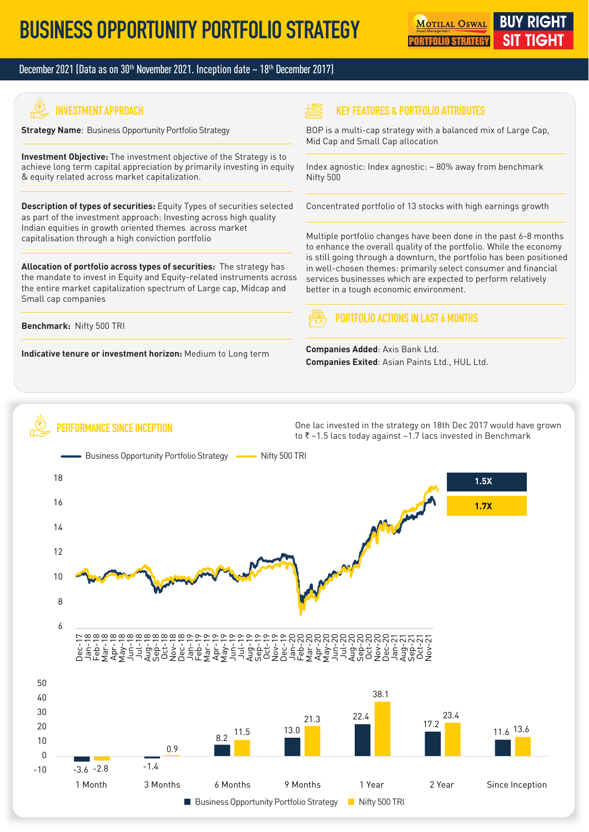#### December 2021 (Data as on  $30<sup>th</sup>$  November 2021. Inception date  $-18<sup>th</sup>$  December 2017)

# **INVESTMENT APPROACH**

**Strategy Name**: Business Opportunity Portfolio Strategy

**Investment Objective:** The investment objective of the Strategy is to achieve long term capital appreciation by primarily investing in equity & equity related across market capitalization.

**Description of types of securities:** Equity Types of securities selected as part of the investment approach: Investing across high quality Indian equities in growth oriented themes across market capitalisation through a high conviction portfolio

**Allocation of portfolio across types of securities:** The strategy has the mandate to invest in Equity and Equity-related instruments across the entire market capitalization spectrum of Large cap, Midcap and Small cap companies

**Benchmark:** Nifty 500 TRI

**Indicative tenure or investment horizon:** Medium to Long term

**PERFORMANCE SINCE INCEPTION**

#### **KEY FEATURES & PORTFOLIO ATTRIBUTES**

BOP is a multi-cap strategy with a balanced mix of Large Cap, Mid Cap and Small Cap allocation

Index agnostic: Index agnostic: ~ 80% away from benchmark Nifty 500

Concentrated portfolio of 13 stocks with high earnings growth

Multiple portfolio changes have been done in the past 6-8 months to enhance the overall quality of the portfolio. While the economy is still going through a downturn, the portfolio has been positioned in well-chosen themes: primarily select consumer and financial services businesses which are expected to perform relatively better in a tough economic environment.

#### **PORTFOLIO ACTIONS IN LAST 6 MONTHS**

**Companies Added**: Axis Bank Ltd. **Companies Exited**: Asian Paints Ltd., HUL Ltd.

One lac invested in the strategy on 18th Dec 2017 would have grown to  $\bar{\tau}$  ~1.5 lacs today against ~1.7 lacs invested in Benchmark

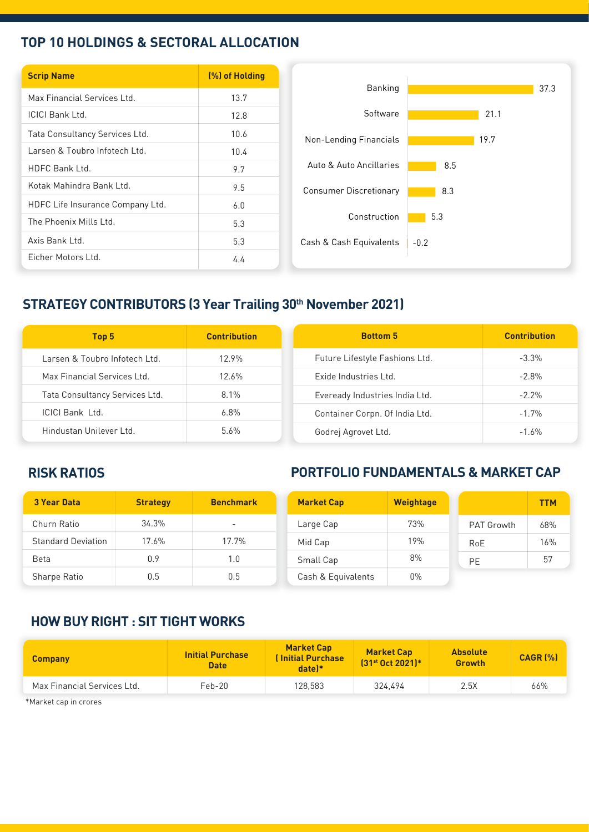### **TOP 10 HOLDINGS & SECTORAL ALLOCATION**

| <b>Scrip Name</b>                | (%) of Holding |                               |
|----------------------------------|----------------|-------------------------------|
| Max Financial Services Ltd.      | 13.7           |                               |
| <b>ICICI Bank Ltd.</b>           | 12.8           |                               |
| Tata Consultancy Services Ltd.   | 10.6           | Non-Lending Financials        |
| Larsen & Toubro Infotech Ltd.    | 10.4           |                               |
| HDFC Bank Ltd.                   | 9.7            | Auto & Auto Ancillaries       |
| Kotak Mahindra Bank Ltd.         | 9.5            | <b>Consumer Discretionary</b> |
| HDFC Life Insurance Company Ltd. | 6.0            |                               |
| The Phoenix Mills Ltd.           | 5.3            | Construction                  |
| Axis Bank Ltd.                   | 5.3            | Cash & Cash Equivalents       |
| Eicher Motors Ltd.               | 4.4            |                               |

# **STRATEGY CONTRIBUTORS (3 Year Trailing 30th November 2021)**

| Top 5                          | <b>Contribution</b> | <b>Bottom 5</b>                | <b>Contribution</b> |
|--------------------------------|---------------------|--------------------------------|---------------------|
| Larsen & Toubro Infotech Ltd.  | 12.9%               | Future Lifestyle Fashions Ltd. | $-3.3\%$            |
| Max Financial Services Ltd.    | 12.6%               | Exide Industries Ltd.          | $-2.8\%$            |
| Tata Consultancy Services Ltd. | $8.1\%$             | Eveready Industries India Ltd. | $-2.2\%$            |
| <b>ICICI Bank Ltd.</b>         | $6.8\%$             | Container Corpn. Of India Ltd. | $-1.7%$             |
| Hindustan Unilever Ltd.        | $5.6\%$             | Godrej Agrovet Ltd.            | $-1.6\%$            |

### **RISK RATIOS**

## **PORTFOLIO FUNDAMENTALS & MARKET CAP**

| <b>3 Year Data</b>        | <b>Strategy</b> | <b>Benchmark</b>         | <b>Market Cap</b>  | <b>Weightage</b> |                   | <b>TTM</b> |
|---------------------------|-----------------|--------------------------|--------------------|------------------|-------------------|------------|
| Churn Ratio               | 34.3%           | $\overline{\phantom{a}}$ | Large Cap          | 73%              | <b>PAT Growth</b> | 68%        |
| <b>Standard Deviation</b> | 17.6%           | 17.7%                    | Mid Cap            | 19%              | RoE               | 16%        |
| <b>Beta</b>               | 0.9             | 1.0                      | Small Cap          | 8%               | PE                | 57         |
| Sharpe Ratio              | 0.5             | 0.5                      | Cash & Equivalents | $0\%$            |                   |            |

#### **HOW BUY RIGHT : SIT TIGHT WORKS**

| <b>Company</b>              | <b>Initial Purchase</b><br><b>Date</b> | <b>Market Cap</b><br><b>(Initial Purchase)</b><br>$date$ <sup>*</sup> | <b>Market Cap</b><br>[31 <sup>st</sup> Oct 2021]* | <b>Absolute</b><br>Growth | CAGR [%] |
|-----------------------------|----------------------------------------|-----------------------------------------------------------------------|---------------------------------------------------|---------------------------|----------|
| Max Financial Services Ltd. | Feb-20                                 | 128.583                                                               | 324.494                                           | 2.5X                      | 66%      |
| *Market can in crores       |                                        |                                                                       |                                                   |                           |          |

Market cap in crores